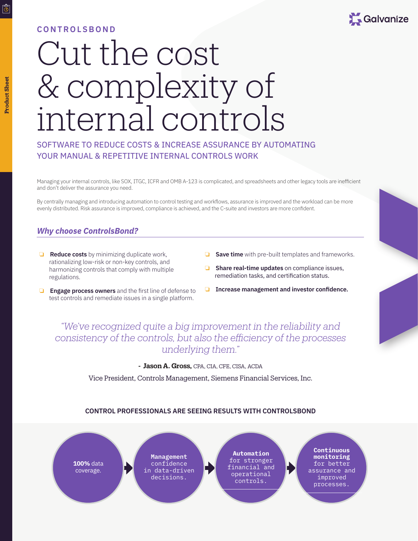#### **CONTROLSBOND**



# Cut the cost & complexity of internal controls

## SOFTWARE TO REDUCE COSTS & INCREASE ASSURANCE BY AUTOMATING YOUR MANUAL & REPETITIVE INTERNAL CONTROLS WORK

Managing your internal controls, like SOX, ITGC, ICFR and OMB A-123 is complicated, and spreadsheets and other legacy tools are inefficient and don't deliver the assurance you need.

By centrally managing and introducing automation to control testing and workflows, assurance is improved and the workload can be more evenly distributed. Risk assurance is improved, compliance is achieved, and the C-suite and investors are more confident.

## *Why choose ControlsBond?*

- ❏ **Reduce costs** by minimizing duplicate work, rationalizing low-risk or non-key controls, and harmonizing controls that comply with multiple regulations.
- **Save time** with pre-built templates and frameworks.
- ❏ **Share real-time updates** on compliance issues, remediation tasks, and certification status.
- ❏ **Engage process owners** and the first line of defense to test controls and remediate issues in a single platform.
- ❏ **Increase management and investor confidence.**

# *"We've recognized quite a big improvement in the reliability and consistency of the controls, but also the efficiency of the processes underlying them."*

**- Jason A. Gross,** CPA, CIA, CFE, CISA, ACDA

Vice President, Controls Management, Siemens Financial Services, Inc.

#### **CONTROL PROFESSIONALS ARE SEEING RESULTS WITH CONTROLSBOND**



 $\overline{\circ}$